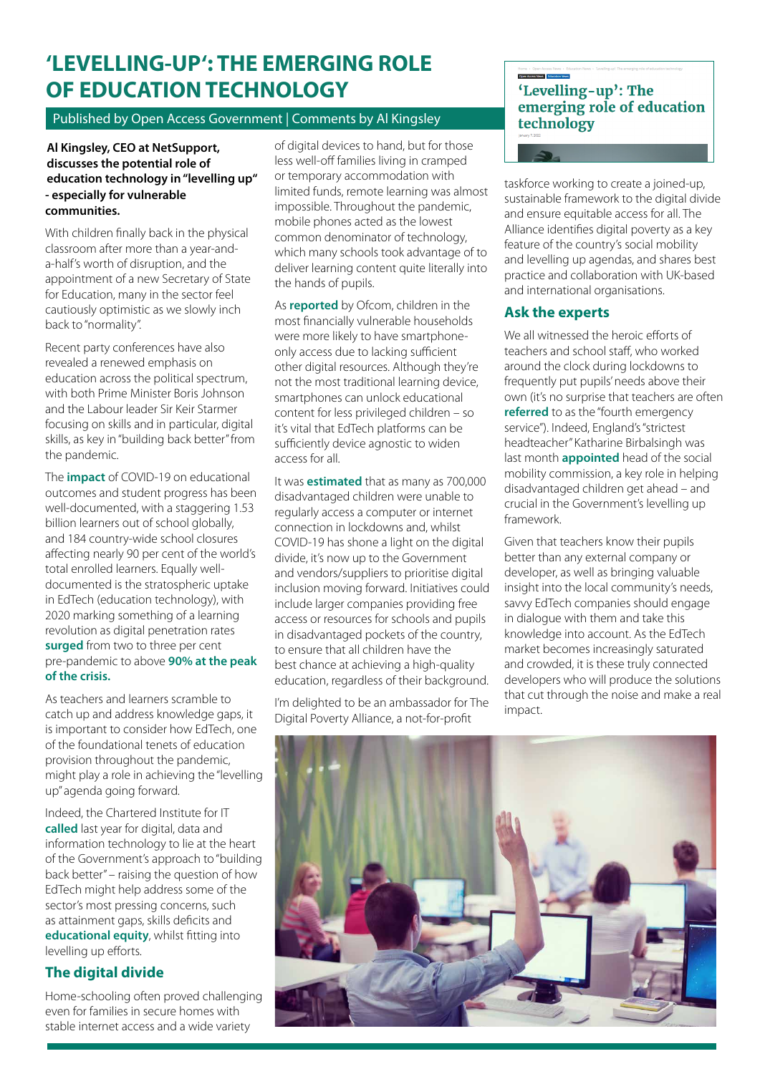# **'LEVELLING-UP': THE EMERGING ROLE OF EDUCATION TECHNOLOGY**

Published by Open Access Government | Comments by Al Kingsley

#### **Al Kingsley, CEO at NetSupport, discusses the potential role of education technology in "levelling up" - especially for vulnerable communities.**

With children finally back in the physical classroom after more than a year-anda-half's worth of disruption, and the appointment of a new Secretary of State for Education, many in the sector feel cautiously optimistic as we slowly inch back to "normality".

Recent party conferences have also revealed a renewed emphasis on education across the political spectrum, with both Prime Minister Boris Johnson and the Labour leader Sir Keir Starmer focusing on skills and in particular, digital skills, as key in "building back better" from the pandemic.

The **[impact](https://blog.insidegovernment.co.uk/schools/the-impact-of-covid-19-on-education)** of COVID-19 on educational outcomes and student progress has been well-documented, with a staggering 1.53 billion learners out of school globally, and 184 country-wide school closures affecting nearly 90 per cent of the world's total enrolled learners. Equally welldocumented is the stratospheric uptake in EdTech (education technology), with 2020 marking something of a learning revolution as digital penetration rates **[surged](https://www.ft.com/partnercontent/credit-suisse/education-is-having-its-netflix-moment-as-a-result-of-the-coronavirus-pandemic.html)** from two to three per cent pre-pandemic to above **[90% at the peak](https://www.openaccessgovernment.org/worse-remote-learning/120621/)  [of the crisis.](https://www.openaccessgovernment.org/worse-remote-learning/120621/)**

As teachers and learners scramble to catch up and address knowledge gaps, it is important to consider how EdTech, one of the foundational tenets of education provision throughout the pandemic, might play a role in achieving the "levelling up" agenda going forward.

Indeed, the Chartered Institute for IT **[called](https://www.bcs.org/articles-opinion-and-research/building-back-digital-what-does-the-pm-s-conference-speech-mean-for-it-and-tech/)** last year for digital, data and information technology to lie at the heart of the Government's approach to "building back better" – raising the question of how EdTech might help address some of the sector's most pressing concerns, such as attainment gaps, skills deficits and **[educational equity](https://www.openaccessgovernment.org/diverse-curriculum/126899/)**, whilst fitting into levelling up efforts.

## **The digital divide**

Home-schooling often proved challenging even for families in secure homes with stable internet access and a wide variety

of digital devices to hand, but for those less well-off families living in cramped or temporary accommodation with limited funds, remote learning was almost impossible. Throughout the pandemic, mobile phones acted as the lowest common denominator of technology, which many schools took advantage of to deliver learning content quite literally into the hands of pupils.

As **[reported](https://www.ofcom.org.uk/__data/assets/pdf_file/0025/217825/children-and-parents-media-use-and-attitudes-report-2020-21.pdf)** by Ofcom, children in the most financially vulnerable households were more likely to have smartphoneonly access due to lacking sufficient other digital resources. Although they're not the most traditional learning device, smartphones can unlock educational content for less privileged children – so it's vital that EdTech platforms can be sufficiently device agnostic to widen access for all.

It was **[estimated](https://inews.co.uk/news/technology/disadvantaged-children-six-months-free-internet-lockdown-bt-447282)** that as many as 700,000 disadvantaged children were unable to regularly access a computer or internet connection in lockdowns and, whilst COVID-19 has shone a light on the digital divide, it's now up to the Government and vendors/suppliers to prioritise digital inclusion moving forward. Initiatives could include larger companies providing free access or resources for schools and pupils in disadvantaged pockets of the country, to ensure that all children have the best chance at achieving a high-quality education, regardless of their background.

I'm delighted to be an ambassador for The Digital Poverty Alliance, a not-for-profit

### 'Levelling-up': The emerging role of education technology

taskforce working to create a joined-up, sustainable framework to the digital divide and ensure equitable access for all. The Alliance identifies digital poverty as a key feature of the country's social mobility and levelling up agendas, and shares best practice and collaboration with UK-based and international organisations.

#### **Ask the experts**

We all witnessed the heroic efforts of teachers and school staff, who worked around the clock during lockdowns to frequently put pupils' needs above their own (it's no surprise that teachers are often **[referred](https://www.theguardian.com/education/2019/mar/15/schools-have-become-fourth-emergency-service-for-poorest-families)** to as the "fourth emergency service"). Indeed, England's "strictest headteacher" Katharine Birbalsingh was last month **[appointed](https://www.thetimes.co.uk/article/strictest-head-teacher-katharine-birbalsingh-gets-levelling-up-job-djlpwdxsw)** head of the social mobility commission, a key role in helping disadvantaged children get ahead – and crucial in the Government's levelling up framework.

Given that teachers know their pupils better than any external company or developer, as well as bringing valuable insight into the local community's needs, savvy EdTech companies should engage in dialogue with them and take this knowledge into account. As the EdTech market becomes increasingly saturated and crowded, it is these truly connected developers who will produce the solutions that cut through the noise and make a real impact.